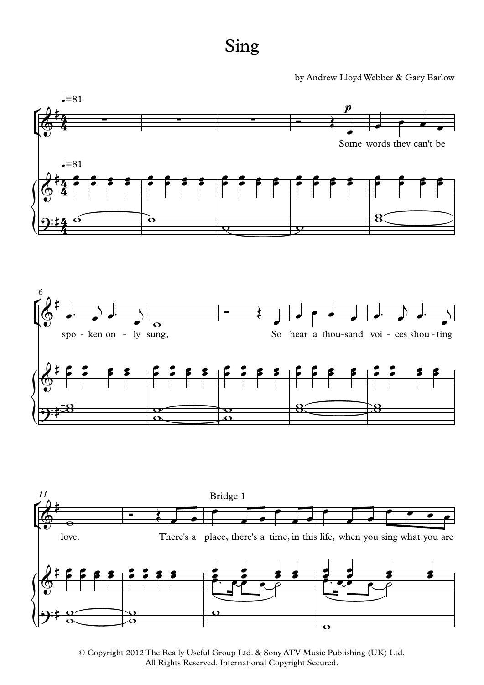Sing

by Andrew Lloyd Webber & Gary Barlow



© Copyright 2012 The Really Useful Group Ltd. & Sony ATV Music Publishing (UK) Ltd. All Rights Reserved. International Copyright Secured.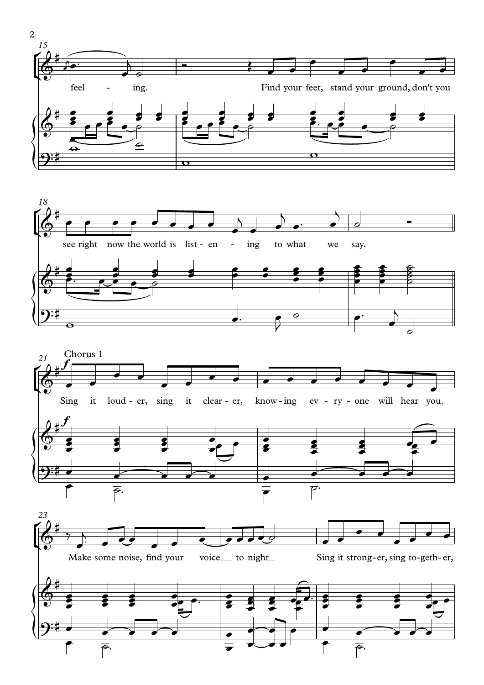





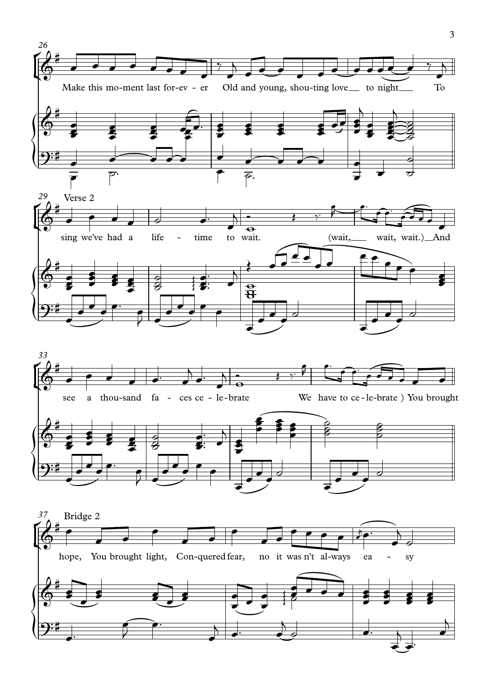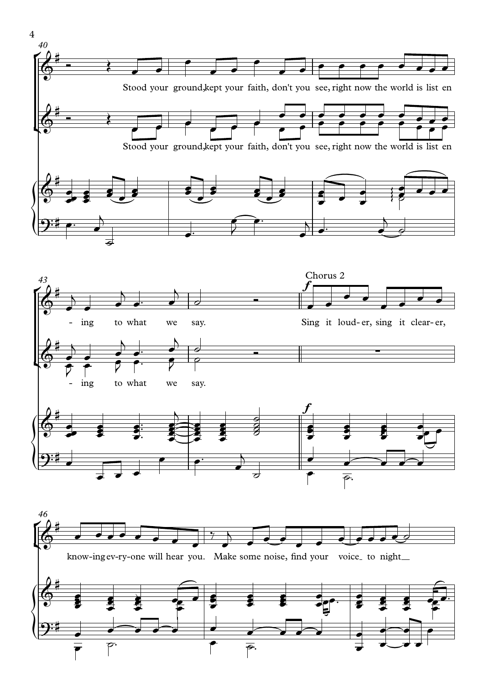



¢



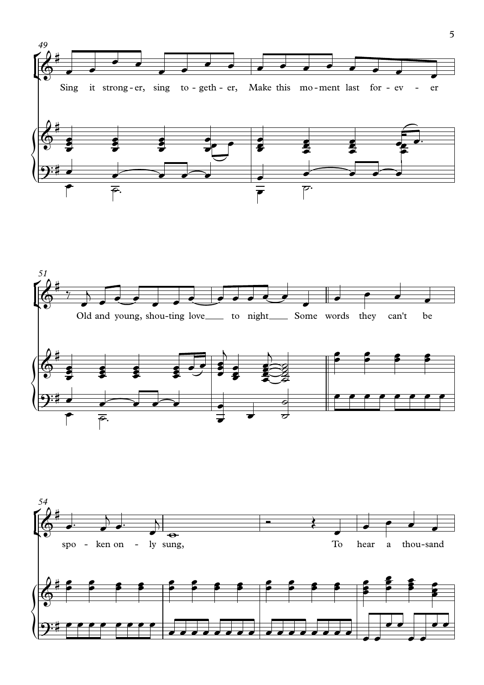



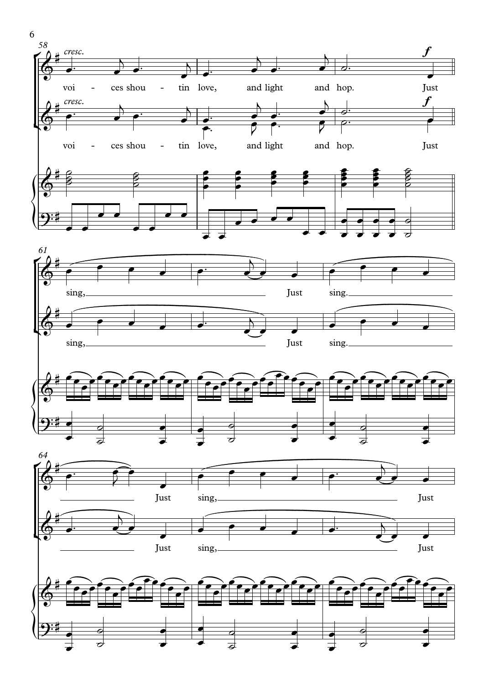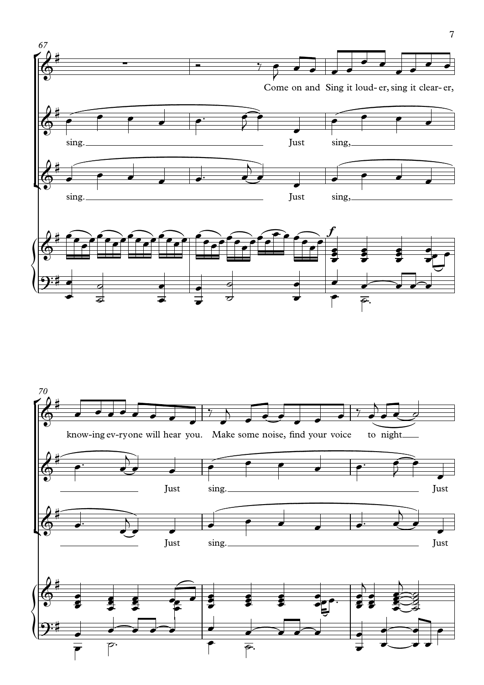

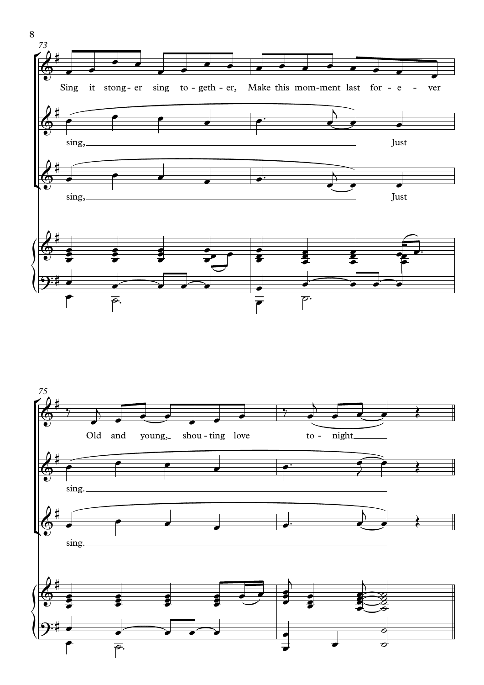



8